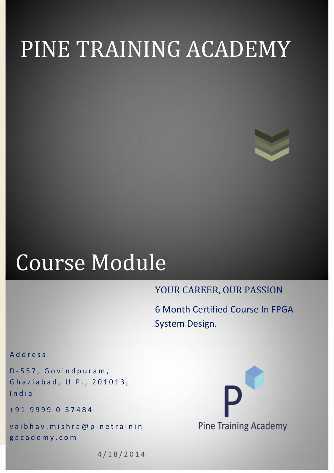# PINE TRAINING ACADEMY



# Course Module

## YOUR CAREER, OUR PASSION

6 Month Certified Course In FPGA System Design.

A d d r e s s

D - 5 5 7 , G o v i n d p u r a m , Ghaziabad, U.P., 201013, I n d i a

+ 9 1 9 9 9 9 0 3 7 4 8 4

vaibhav. mishra@pinetrainin g a c a d e m y . c o m



4 / 1 8 / 2 0 1 4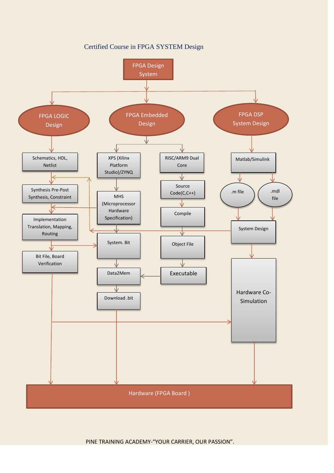Certified Course in FPGA SYSTEM Design

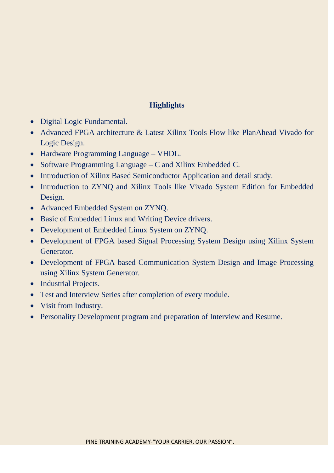#### **Highlights**

- Digital Logic Fundamental.
- Advanced FPGA architecture & Latest Xilinx Tools Flow like PlanAhead Vivado for Logic Design.
- Hardware Programming Language VHDL.
- Software Programming Language C and Xilinx Embedded C.
- Introduction of Xilinx Based Semiconductor Application and detail study.
- Introduction to ZYNQ and Xilinx Tools like Vivado System Edition for Embedded Design.
- Advanced Embedded System on ZYNQ.
- Basic of Embedded Linux and Writing Device drivers.
- Development of Embedded Linux System on ZYNQ.
- Development of FPGA based Signal Processing System Design using Xilinx System Generator.
- Development of FPGA based Communication System Design and Image Processing using Xilinx System Generator.
- Industrial Projects.
- Test and Interview Series after completion of every module.
- Visit from Industry.
- Personality Development program and preparation of Interview and Resume.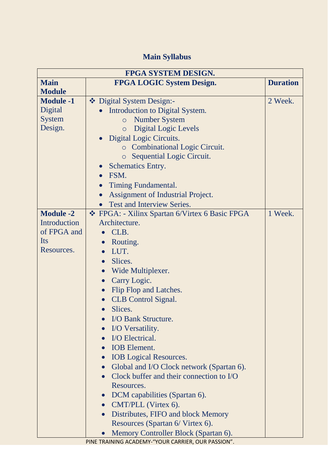## **Main Syllabus**

| FPGA SYSTEM DESIGN. |                                                        |                 |  |
|---------------------|--------------------------------------------------------|-----------------|--|
| <b>Main</b>         | <b>FPGA LOGIC System Design.</b>                       | <b>Duration</b> |  |
| <b>Module</b>       |                                                        |                 |  |
| <b>Module -1</b>    | Digital System Design:-                                | 2 Week.         |  |
| Digital             | Introduction to Digital System.                        |                 |  |
| <b>System</b>       | <b>Number System</b><br>$\circ$                        |                 |  |
| Design.             | <b>Digital Logic Levels</b><br>$\circ$                 |                 |  |
|                     | Digital Logic Circuits.                                |                 |  |
|                     | <b>c</b> Combinational Logic Circuit.                  |                 |  |
|                     | Sequential Logic Circuit.<br>$\circ$                   |                 |  |
|                     | <b>Schematics Entry.</b>                               |                 |  |
|                     | FSM.<br>$\bullet$                                      |                 |  |
|                     | Timing Fundamental.                                    |                 |  |
|                     | Assignment of Industrial Project.                      |                 |  |
|                     | <b>Test and Interview Series.</b>                      |                 |  |
| <b>Module -2</b>    | ❖ FPGA: - Xilinx Spartan 6/Virtex 6 Basic FPGA         | 1 Week.         |  |
| Introduction        | Architecture.                                          |                 |  |
| of FPGA and         | CLB.                                                   |                 |  |
| Its                 | Routing.<br>$\bullet$                                  |                 |  |
| Resources.          | LUT.<br>$\bullet$                                      |                 |  |
|                     | Slices.<br>$\bullet$                                   |                 |  |
|                     | Wide Multiplexer.<br>$\bullet$                         |                 |  |
|                     | Carry Logic.<br>$\bullet$                              |                 |  |
|                     | Flip Flop and Latches.<br>$\bullet$                    |                 |  |
|                     | <b>CLB</b> Control Signal.                             |                 |  |
|                     | Slices.<br>$\bullet$                                   |                 |  |
|                     | <b>I/O Bank Structure.</b>                             |                 |  |
|                     | I/O Versatility.                                       |                 |  |
|                     | I/O Electrical.                                        |                 |  |
|                     | <b>IOB</b> Element.                                    |                 |  |
|                     | <b>IOB</b> Logical Resources.<br>$\bullet$             |                 |  |
|                     | Global and I/O Clock network (Spartan 6).<br>$\bullet$ |                 |  |
|                     | Clock buffer and their connection to I/O<br>$\bullet$  |                 |  |
|                     | Resources.                                             |                 |  |
|                     | DCM capabilities (Spartan 6).<br>$\bullet$             |                 |  |
|                     | • CMT/PLL (Virtex 6).                                  |                 |  |
|                     | Distributes, FIFO and block Memory                     |                 |  |
|                     | Resources (Spartan 6/ Virtex 6).                       |                 |  |
|                     | Memory Controller Block (Spartan 6).                   |                 |  |
|                     | PINE TRAINING ACADEMY-"YOUR CARRIER, OUR PASSION".     |                 |  |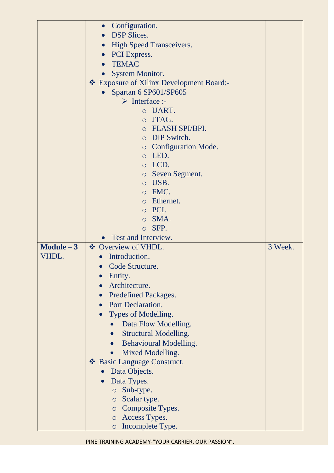|              | Configuration.<br>$\bullet$                |         |
|--------------|--------------------------------------------|---------|
|              | <b>DSP</b> Slices.                         |         |
|              | <b>High Speed Transceivers.</b>            |         |
|              | <b>PCI</b> Express.<br>$\bullet$           |         |
|              | <b>TEMAC</b>                               |         |
|              | <b>System Monitor.</b>                     |         |
|              | ❖ Exposure of Xilinx Development Board:-   |         |
|              | Spartan 6 SP601/SP605                      |         |
|              | $\triangleright$ Interface :-              |         |
|              | o UART.                                    |         |
|              | JTAG.<br>$\bigcirc$                        |         |
|              | O FLASH SPI/BPI.                           |         |
|              | o DIP Switch.                              |         |
|              | <b>c</b> Configuration Mode.               |         |
|              | LED.<br>$\circ$                            |         |
|              | o LCD.                                     |         |
|              | o Seven Segment.                           |         |
|              | USB.<br>$\circ$                            |         |
|              | o FMC.                                     |         |
|              | o Ethernet.                                |         |
|              | o PCI.                                     |         |
|              | o SMA.                                     |         |
|              | SFP.<br>$\circ$                            |         |
|              | • Test and Interview.                      |         |
|              | ❖ Overview of VHDL.                        |         |
| $Module - 3$ |                                            | 3 Week. |
| VHDL.        | Introduction.                              |         |
|              | Code Structure.<br>$\bullet$               |         |
|              | Entity.                                    |         |
|              | Architecture.                              |         |
|              | <b>Predefined Packages.</b>                |         |
|              | <b>Port Declaration.</b>                   |         |
|              | Types of Modelling.                        |         |
|              | Data Flow Modelling.                       |         |
|              | <b>Structural Modelling.</b>               |         |
|              | <b>Behavioural Modelling.</b><br>$\bullet$ |         |
|              | Mixed Modelling.                           |         |
|              | ❖ Basic Language Construct.                |         |
|              | Data Objects.                              |         |
|              |                                            |         |
|              | Data Types.<br>$\circ$ Sub-type.           |         |
|              | $\circ$ Scalar type.                       |         |
|              | Composite Types.<br>$\circ$                |         |
|              | o Access Types.                            |         |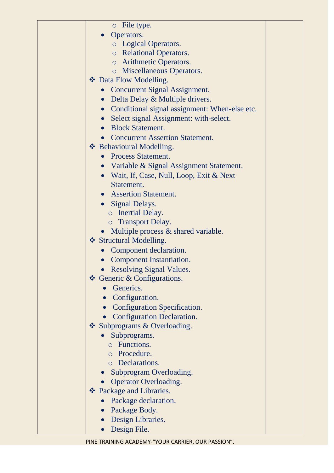| $\circ$ File type.                                                      |  |
|-------------------------------------------------------------------------|--|
| Operators.<br>$\bullet$                                                 |  |
| <b>o</b> Logical Operators.                                             |  |
| o Relational Operators.                                                 |  |
| o Arithmetic Operators.                                                 |  |
| o Miscellaneous Operators.                                              |  |
| ❖ Data Flow Modelling.                                                  |  |
| • Concurrent Signal Assignment.                                         |  |
| Delta Delay & Multiple drivers.<br>$\bullet$                            |  |
| Conditional signal assignment: When-else etc.<br>$\bullet$              |  |
| Select signal Assignment: with-select.<br>$\bullet$                     |  |
| <b>Block Statement.</b>                                                 |  |
| <b>Concurrent Assertion Statement.</b>                                  |  |
| ❖ Behavioural Modelling.                                                |  |
| <b>Process Statement.</b><br>$\bullet$                                  |  |
| • Variable & Signal Assignment Statement.                               |  |
| • Wait, If, Case, Null, Loop, Exit & Next                               |  |
| Statement.                                                              |  |
| • Assertion Statement.                                                  |  |
| • Signal Delays.                                                        |  |
| o Inertial Delay.                                                       |  |
| o Transport Delay.                                                      |  |
| Multiple process & shared variable.                                     |  |
| ❖ Structural Modelling.                                                 |  |
| Component declaration.                                                  |  |
| <b>Component Instantiation.</b>                                         |  |
|                                                                         |  |
| <b>Resolving Signal Values</b><br>$\triangle$ Generic & Configurations. |  |
| Generics.                                                               |  |
|                                                                         |  |
| Configuration.                                                          |  |
| <b>Configuration Specification.</b>                                     |  |
| <b>Configuration Declaration.</b>                                       |  |
| Subprograms & Overloading.                                              |  |
| Subprograms.                                                            |  |
| o Functions.                                                            |  |
| o Procedure.<br><b>o</b> Declarations.                                  |  |
|                                                                         |  |
| Subprogram Overloading.                                                 |  |
| <b>Operator Overloading.</b>                                            |  |
| ❖ Package and Libraries.                                                |  |
| Package declaration.                                                    |  |
| Package Body.                                                           |  |
| Design Libraries.                                                       |  |
| Design File.                                                            |  |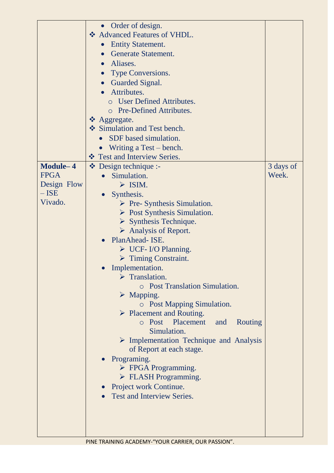|             | Order of design.                                                                   |           |
|-------------|------------------------------------------------------------------------------------|-----------|
|             | ❖ Advanced Features of VHDL.                                                       |           |
|             | <b>Entity Statement.</b>                                                           |           |
|             | <b>Generate Statement.</b>                                                         |           |
|             | Aliases.<br>$\bullet$                                                              |           |
|             | Type Conversions.                                                                  |           |
|             | Guarded Signal.<br>$\bullet$                                                       |           |
|             | Attributes.                                                                        |           |
|             | <b>User Defined Attributes.</b>                                                    |           |
|             | o Pre-Defined Attributes.                                                          |           |
|             | $\triangle$ Aggregate.                                                             |           |
|             | Simulation and Test bench.                                                         |           |
|             | SDF based simulation.                                                              |           |
|             | Writing a Test – bench.                                                            |           |
|             | ❖ Test and Interview Series.                                                       |           |
| Module-4    | $\bullet$ Design technique :-                                                      | 3 days of |
| <b>FPGA</b> | Simulation.                                                                        | Week.     |
| Design Flow | $\triangleright$ ISIM.                                                             |           |
| $-$ ISE     | Synthesis.                                                                         |           |
| Vivado.     | $\triangleright$ Pre- Synthesis Simulation.                                        |           |
|             | $\triangleright$ Post Synthesis Simulation.                                        |           |
|             | $\triangleright$ Synthesis Technique.                                              |           |
|             | $\triangleright$ Analysis of Report.                                               |           |
|             | PlanAhead- ISE.                                                                    |           |
|             | $\triangleright$ UCF-I/O Planning.                                                 |           |
|             | $\triangleright$ Timing Constraint.                                                |           |
|             | Implementation.                                                                    |           |
|             | $\triangleright$ Translation.                                                      |           |
|             | <b>O</b> Post Translation Simulation.                                              |           |
|             | $\triangleright$ Mapping.                                                          |           |
|             | <b>O</b> Post Mapping Simulation.                                                  |           |
|             | $\triangleright$ Placement and Routing.                                            |           |
|             | o Post Placement<br>and<br>Routing                                                 |           |
|             | Simulation.                                                                        |           |
|             | $\triangleright$ Implementation Technique and Analysis<br>of Report at each stage. |           |
|             | Programing.                                                                        |           |
|             | $\triangleright$ FPGA Programming.                                                 |           |
|             | $\triangleright$ FLASH Programming.                                                |           |
|             | Project work Continue.<br>$\bullet$                                                |           |
|             | <b>Test and Interview Series.</b>                                                  |           |
|             |                                                                                    |           |
|             |                                                                                    |           |
|             |                                                                                    |           |
|             |                                                                                    |           |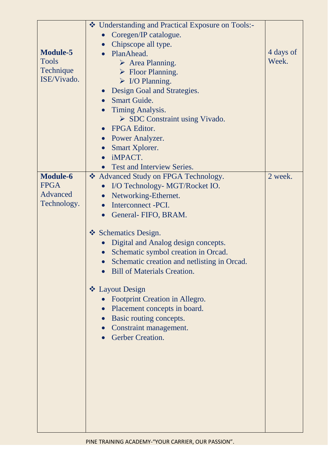|                 | ❖ Understanding and Practical Exposure on Tools:- |           |
|-----------------|---------------------------------------------------|-----------|
|                 | Coregen/IP catalogue.                             |           |
|                 | Chipscope all type.<br>$\bullet$                  |           |
| <b>Module-5</b> | PlanAhead.                                        | 4 days of |
| <b>Tools</b>    | $\triangleright$ Area Planning.                   | Week.     |
| Technique       | $\triangleright$ Floor Planning.                  |           |
| ISE/Vivado.     | $\triangleright$ I/O Planning.                    |           |
|                 | Design Goal and Strategies.<br>$\bullet$          |           |
|                 | <b>Smart Guide.</b><br>$\bullet$                  |           |
|                 | Timing Analysis.<br>$\bullet$                     |           |
|                 | $\triangleright$ SDC Constraint using Vivado.     |           |
|                 | <b>FPGA Editor.</b>                               |           |
|                 | • Power Analyzer.                                 |           |
|                 | Smart Xplorer.<br>$\bullet$                       |           |
|                 | iMPACT.<br>$\bullet$                              |           |
|                 | <b>Test and Interview Series.</b>                 |           |
| <b>Module-6</b> | ❖ Advanced Study on FPGA Technology.              | 2 week.   |
| <b>FPGA</b>     | I/O Technology- MGT/Rocket IO.<br>$\bullet$       |           |
| Advanced        | Networking-Ethernet.<br>$\bullet$                 |           |
| Technology.     | Interconnect -PCI.<br>$\bullet$                   |           |
|                 | General- FIFO, BRAM.<br>$\bullet$                 |           |
|                 |                                                   |           |
|                 | Schematics Design.                                |           |
|                 | Digital and Analog design concepts.               |           |
|                 | Schematic symbol creation in Orcad.               |           |
|                 | Schematic creation and netlisting in Orcad.       |           |
|                 | <b>Bill of Materials Creation</b>                 |           |
|                 |                                                   |           |
|                 | ❖ Layout Design                                   |           |
|                 | Footprint Creation in Allegro.                    |           |
|                 | Placement concepts in board.                      |           |
|                 | Basic routing concepts.                           |           |
|                 | Constraint management.                            |           |
|                 | Gerber Creation.                                  |           |
|                 |                                                   |           |
|                 |                                                   |           |
|                 |                                                   |           |
|                 |                                                   |           |
|                 |                                                   |           |
|                 |                                                   |           |
|                 |                                                   |           |
|                 |                                                   |           |
|                 |                                                   |           |
|                 |                                                   |           |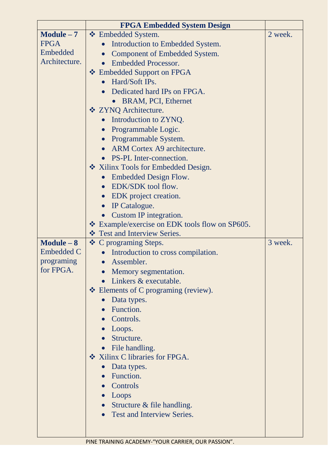|                   | <b>FPGA Embedded System Design</b>                 |         |
|-------------------|----------------------------------------------------|---------|
| $Module - 7$      | ❖ Embedded System.                                 | 2 week. |
| <b>FPGA</b>       | Introduction to Embedded System.                   |         |
| Embedded          | <b>Component of Embedded System.</b>               |         |
| Architecture.     | <b>Embedded Processor.</b>                         |         |
|                   | ❖ Embedded Support on FPGA                         |         |
|                   | Hard/Soft IPs.                                     |         |
|                   | Dedicated hard IPs on FPGA.                        |         |
|                   | BRAM, PCI, Ethernet                                |         |
|                   | ❖ ZYNQ Architecture.                               |         |
|                   | Introduction to ZYNQ.<br>$\bullet$                 |         |
|                   | Programmable Logic.<br>$\bullet$                   |         |
|                   | Programmable System.                               |         |
|                   | ARM Cortex A9 architecture.                        |         |
|                   | <b>PS-PL Inter-connection.</b>                     |         |
|                   | ❖ Xilinx Tools for Embedded Design.                |         |
|                   | Embedded Design Flow.<br>$\bullet$                 |         |
|                   | EDK/SDK tool flow.                                 |         |
|                   | EDK project creation.<br>$\bullet$                 |         |
|                   | IP Catalogue.                                      |         |
|                   | Custom IP integration.                             |         |
|                   | * Example/exercise on EDK tools flow on SP605.     |         |
|                   | ❖ Test and Interview Series.                       |         |
| $Module - 8$      | ❖ C programing Steps.                              | 3 week. |
| <b>Embedded C</b> | Introduction to cross compilation.                 |         |
| programing        | Assembler.                                         |         |
| for FPGA.         | Memory segmentation.                               |         |
|                   | Linkers & executable.                              |         |
|                   | $\triangleleft$ Elements of C programing (review). |         |
|                   | Data types.                                        |         |
|                   | • Function.                                        |         |
|                   | Controls.                                          |         |
|                   | • Loops.                                           |         |
|                   | Structure.                                         |         |
|                   | • File handling.                                   |         |
|                   | ❖ Xilinx C libraries for FPGA.                     |         |
|                   | Data types.                                        |         |
|                   | • Function.                                        |         |
|                   | Controls                                           |         |
|                   | $\bullet$ Loops                                    |         |
|                   | • Structure $&$ file handling.                     |         |
|                   | <b>Test and Interview Series.</b>                  |         |
|                   |                                                    |         |
|                   |                                                    |         |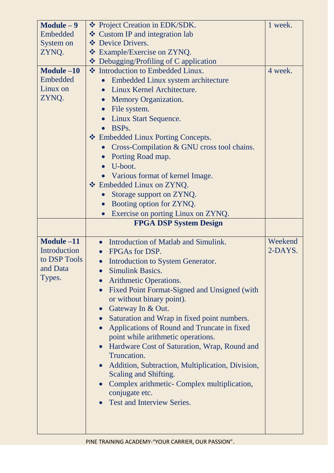| $Module - 9$ | ❖ Project Creation in EDK/SDK.                                | 1 week. |
|--------------|---------------------------------------------------------------|---------|
| Embedded     | ❖ Custom IP and integration lab                               |         |
| System on    | <b>V</b> Device Drivers.                                      |         |
| ZYNQ.        | ❖ Example/Exercise on ZYNQ.                                   |         |
|              | $\triangleleft$ Debugging/Profiling of C application          |         |
| Module -10   | ❖ Introduction to Embedded Linux.                             | 4 week. |
| Embedded     | Embedded Linux system architecture                            |         |
| Linux on     | Linux Kernel Architecture.<br>$\bullet$                       |         |
| ZYNQ.        | <b>Memory Organization.</b><br>$\bullet$                      |         |
|              | File system.<br>$\bullet$                                     |         |
|              | <b>Linux Start Sequence.</b>                                  |         |
|              | BSP <sub>s</sub> .<br>$\bullet$                               |         |
|              | ❖ Embedded Linux Porting Concepts.                            |         |
|              | Cross-Compilation & GNU cross tool chains.                    |         |
|              | Porting Road map.<br>$\bullet$                                |         |
|              | U-boot.<br>$\bullet$                                          |         |
|              |                                                               |         |
|              | Various format of kernel Image.                               |         |
|              | ❖ Embedded Linux on ZYNQ.                                     |         |
|              | Storage support on ZYNQ.<br>$\bullet$                         |         |
|              | Booting option for ZYNQ.<br>$\bullet$                         |         |
|              | Exercise on porting Linux on ZYNQ.<br>$\bullet$               |         |
|              | <b>FPGA DSP System Design</b>                                 |         |
| Module -11   | Introduction of Matlab and Simulink.<br>$\bullet$             | Weekend |
|              |                                                               |         |
|              |                                                               |         |
| Introduction | FPGAs for DSP.                                                | 2-DAYS. |
| to DSP Tools | Introduction to System Generator.                             |         |
| and Data     | <b>Simulink Basics.</b>                                       |         |
| Types.       | Arithmetic Operations.                                        |         |
|              | Fixed Point Format-Signed and Unsigned (with                  |         |
|              | or without binary point).                                     |         |
|              | • Gateway In $&$ Out.                                         |         |
|              | Saturation and Wrap in fixed point numbers.<br>$\bullet$      |         |
|              | Applications of Round and Truncate in fixed                   |         |
|              | point while arithmetic operations.                            |         |
|              | Hardware Cost of Saturation, Wrap, Round and                  |         |
|              | Truncation.                                                   |         |
|              | Addition, Subtraction, Multiplication, Division,<br>$\bullet$ |         |
|              | Scaling and Shifting.                                         |         |
|              | Complex arithmetic- Complex multiplication,                   |         |
|              | conjugate etc.                                                |         |
|              | Test and Interview Series.                                    |         |
|              |                                                               |         |
|              |                                                               |         |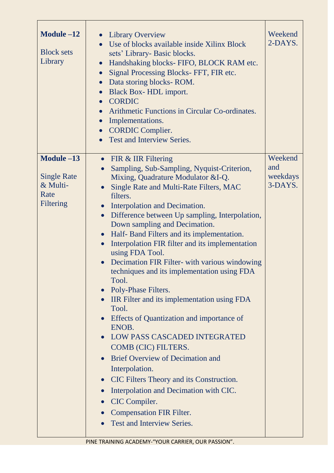| Module $-12$<br><b>Block sets</b><br>Library                      | <b>Library Overview</b><br>$\bullet$<br>Use of blocks available inside Xilinx Block<br>$\bullet$<br>sets' Library- Basic blocks.<br>Handshaking blocks- FIFO, BLOCK RAM etc.<br>Signal Processing Blocks-FFT, FIR etc.<br>$\bullet$<br>Data storing blocks-ROM.<br>$\bullet$<br>Black Box-HDL import.<br>$\bullet$<br><b>CORDIC</b><br>$\bullet$<br>Arithmetic Functions in Circular Co-ordinates.<br>$\bullet$<br>Implementations.<br>$\bullet$<br><b>CORDIC Complier.</b><br>$\bullet$<br><b>Test and Interview Series.</b>                                                                                                                                                                                                                                                                                                                                                                                                                                                                                                                                                                                          | Weekend<br>2-DAYS.                    |
|-------------------------------------------------------------------|------------------------------------------------------------------------------------------------------------------------------------------------------------------------------------------------------------------------------------------------------------------------------------------------------------------------------------------------------------------------------------------------------------------------------------------------------------------------------------------------------------------------------------------------------------------------------------------------------------------------------------------------------------------------------------------------------------------------------------------------------------------------------------------------------------------------------------------------------------------------------------------------------------------------------------------------------------------------------------------------------------------------------------------------------------------------------------------------------------------------|---------------------------------------|
| Module -13<br><b>Single Rate</b><br>& Multi-<br>Rate<br>Filtering | • FIR $&$ IIR Filtering<br>Sampling, Sub-Sampling, Nyquist-Criterion,<br>$\bullet$<br>Mixing, Quadrature Modulator &I-Q.<br>Single Rate and Multi-Rate Filters, MAC<br>$\bullet$<br>filters.<br>Interpolation and Decimation.<br>$\bullet$<br>Difference between Up sampling, Interpolation,<br>$\bullet$<br>Down sampling and Decimation.<br>Half- Band Filters and its implementation.<br>$\bullet$<br>Interpolation FIR filter and its implementation<br>$\bullet$<br>using FDA Tool.<br>Decimation FIR Filter- with various windowing<br>$\bullet$<br>techniques and its implementation using FDA<br>Tool.<br>• Poly-Phase Filters.<br>• IIR Filter and its implementation using FDA<br>Tool.<br>Effects of Quantization and importance of<br>ENOB.<br><b>LOW PASS CASCADED INTEGRATED</b><br>COMB (CIC) FILTERS.<br>• Brief Overview of Decimation and<br>Interpolation.<br>CIC Filters Theory and its Construction.<br>$\bullet$<br>Interpolation and Decimation with CIC.<br>$\bullet$<br>CIC Compiler.<br>$\bullet$<br><b>Compensation FIR Filter.</b><br>$\bullet$<br>Test and Interview Series.<br>$\bullet$ | Weekend<br>and<br>weekdays<br>3-DAYS. |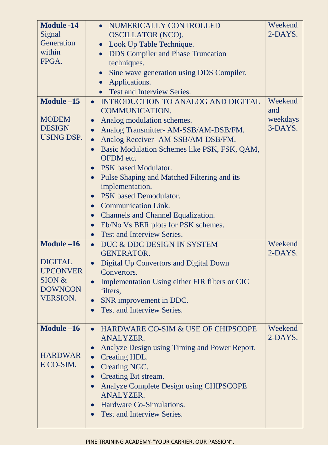| <b>Module -14</b><br>Signal<br>Generation<br>within<br>FPGA.                                   | NUMERICALLY CONTROLLED<br><b>OSCILLATOR (NCO).</b><br>Look Up Table Technique.<br>$\bullet$<br><b>DDS</b> Compiler and Phase Truncation<br>$\bullet$<br>techniques.<br>Sine wave generation using DDS Compiler.<br>Applications.<br>$\bullet$<br><b>Test and Interview Series.</b>                                                                                                                                                                                                                                                                                                                    | Weekend<br>2-DAYS.                    |
|------------------------------------------------------------------------------------------------|-------------------------------------------------------------------------------------------------------------------------------------------------------------------------------------------------------------------------------------------------------------------------------------------------------------------------------------------------------------------------------------------------------------------------------------------------------------------------------------------------------------------------------------------------------------------------------------------------------|---------------------------------------|
| Module -15<br><b>MODEM</b><br><b>DESIGN</b><br><b>USING DSP.</b>                               | INTRODUCTION TO ANALOG AND DIGITAL<br>$\bullet$<br><b>COMMUNICATION.</b><br>Analog modulation schemes.<br>$\bullet$<br>Analog Transmitter- AM-SSB/AM-DSB/FM.<br>$\bullet$<br>Analog Receiver- AM-SSB/AM-DSB/FM.<br>Basic Modulation Schemes like PSK, FSK, QAM,<br><b>OFDM</b> etc.<br>PSK based Modulator.<br>Pulse Shaping and Matched Filtering and its<br>implementation.<br>PSK based Demodulator.<br><b>Communication Link.</b><br>$\bullet$<br><b>Channels and Channel Equalization.</b><br>$\bullet$<br>Eb/No Vs BER plots for PSK schemes.<br><b>Test and Interview Series.</b><br>$\bullet$ | Weekend<br>and<br>weekdays<br>3-DAYS. |
| Module -16<br><b>DIGITAL</b><br><b>UPCONVER</b><br>SION &<br><b>DOWNCON</b><br><b>VERSION.</b> | DUC & DDC DESIGN IN SYSTEM<br>$\bullet$<br><b>GENERATOR.</b><br>Digital Up Convertors and Digital Down<br>$\bullet$<br>Convertors.<br>Implementation Using either FIR filters or CIC<br>filters,<br>SNR improvement in DDC.<br>Test and Interview Series.                                                                                                                                                                                                                                                                                                                                             | Weekend<br>2-DAYS.                    |
| Module -16<br><b>HARDWAR</b><br>E CO-SIM.                                                      | HARDWARE CO-SIM & USE OF CHIPSCOPE<br>$\bullet$<br><b>ANALYZER.</b><br>Analyze Design using Timing and Power Report.<br>Creating HDL.<br>$\bullet$<br><b>Creating NGC.</b><br>$\bullet$<br><b>Creating Bit stream.</b><br>$\bullet$<br><b>Analyze Complete Design using CHIPSCOPE</b><br><b>ANALYZER.</b><br>Hardware Co-Simulations.<br>$\bullet$<br><b>Test and Interview Series.</b>                                                                                                                                                                                                               | Weekend<br>2-DAYS.                    |